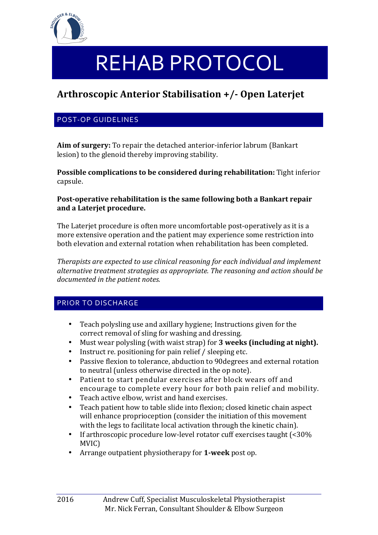

# REHAB PROTOCOL

# **Arthroscopic Anterior Stabilisation +/- Open Laterjet**

# POST-OP GUIDELINES

Aim of surgery: To repair the detached anterior-inferior labrum (Bankart lesion) to the glenoid thereby improving stability.

**Possible complications to be considered during rehabilitation:** Tight inferior capsule.

#### **Post-operative rehabilitation is the same following both a Bankart repair** and a Lateriet procedure.

The Laterjet procedure is often more uncomfortable post-operatively as it is a more extensive operation and the patient may experience some restriction into both elevation and external rotation when rehabilitation has been completed.

*Therapists are expected to use clinical reasoning for each individual and implement* alternative treatment strategies as appropriate. The reasoning and action should be documented in the patient notes.

# PRIOR TO DISCHARGE

- Teach polysling use and axillary hygiene; Instructions given for the correct removal of sling for washing and dressing.
- Must wear polysling (with waist strap) for **3** weeks (including at night).
- Instruct re. positioning for pain relief  $\ell$  sleeping etc.
- Passive flexion to tolerance, abduction to 90 degrees and external rotation to neutral (unless otherwise directed in the op note).
- Patient to start pendular exercises after block wears off and encourage to complete every hour for both pain relief and mobility.
- $\bullet$  Teach active elbow, wrist and hand exercises.
- Teach patient how to table slide into flexion; closed kinetic chain aspect will enhance proprioception (consider the initiation of this movement with the legs to facilitate local activation through the kinetic chain).
- If arthroscopic procedure low-level rotator cuff exercises taught  $\left( \langle 30\% \rangle \right)$ MVIC)
- Arrange outpatient physiotherapy for **1-week** post op.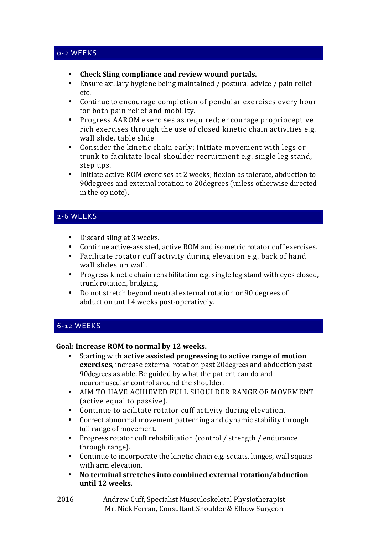#### 0-2 WEEKS

- Check Sling compliance and review wound portals.
- Ensure axillary hygiene being maintained / postural advice / pain relief etc.
- Continue to encourage completion of pendular exercises every hour for both pain relief and mobility.
- Progress AAROM exercises as required; encourage proprioceptive rich exercises through the use of closed kinetic chain activities e.g. wall slide, table slide
- Consider the kinetic chain early; initiate movement with legs or trunk to facilitate local shoulder recruitment e.g. single leg stand, step ups.
- Initiate active ROM exercises at 2 weeks; flexion as tolerate, abduction to 90degrees and external rotation to 20degrees (unless otherwise directed in the op note).

# 2-6 WEEKS

- Discard sling at 3 weeks.
- Continue active-assisted, active ROM and isometric rotator cuff exercises.
- Facilitate rotator cuff activity during elevation e.g. back of hand wall slides up wall.
- Progress kinetic chain rehabilitation e.g. single leg stand with eyes closed, trunk rotation, bridging.
- Do not stretch beyond neutral external rotation or 90 degrees of abduction until 4 weeks post-operatively.

#### 6-12 WEEKS

#### Goal: Increase ROM to normal by 12 weeks.

- Starting with **active assisted progressing to active range of motion exercises**, increase external rotation past 20degrees and abduction past 90 degrees as able. Be guided by what the patient can do and neuromuscular control around the shoulder.
- AIM TO HAVE ACHIEVED FULL SHOULDER RANGE OF MOVEMENT (active equal to passive).
- Continue to acilitate rotator cuff activity during elevation.
- Correct abnormal movement patterning and dynamic stability through full range of movement.
- Progress rotator cuff rehabilitation (control / strength / endurance through range).
- Continue to incorporate the kinetic chain e.g. squats, lunges, wall squats with arm elevation.
- No terminal stretches into combined external rotation/abduction until 12 weeks.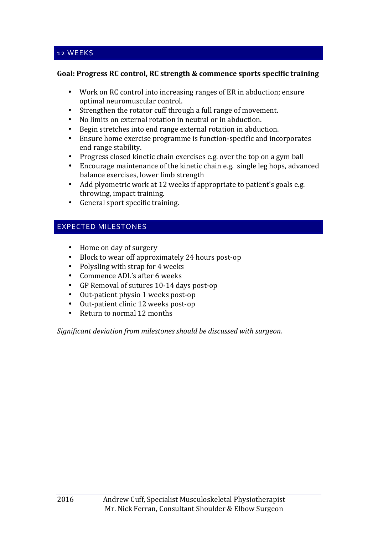#### Goal: Progress RC control, RC strength & commence sports specific training

- Work on RC control into increasing ranges of ER in abduction; ensure optimal neuromuscular control.
- Strengthen the rotator cuff through a full range of movement.
- No limits on external rotation in neutral or in abduction.
- Begin stretches into end range external rotation in abduction.
- Ensure home exercise programme is function-specific and incorporates end range stability.
- Progress closed kinetic chain exercises e.g. over the top on a gym ball
- Encourage maintenance of the kinetic chain e.g. single leg hops, advanced balance exercises, lower limb strength
- Add plyometric work at 12 weeks if appropriate to patient's goals e.g. throwing, impact training.
- General sport specific training.

# EXPECTED MILESTONES

- Home on day of surgery
- Block to wear off approximately 24 hours post-op
- Polysling with strap for  $4$  weeks
- Commence ADL's after 6 weeks
- GP Removal of sutures 10-14 days post-op
- Out-patient physio 1 weeks post-op
- Out-patient clinic 12 weeks post-op
- Return to normal 12 months

*Significant deviation from milestones should be discussed with surgeon.*